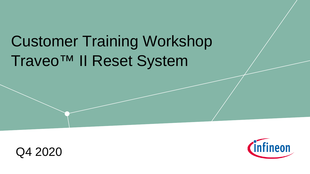# Traveo™ II Reset System Customer Training Workshop



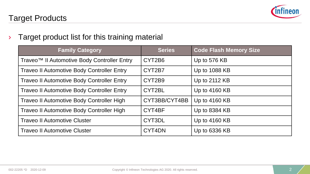

#### $\rightarrow$  Target product list for this training material

| <b>Family Category</b>                                  | <b>Series</b> | <b>Code Flash Memory Size</b> |  |  |
|---------------------------------------------------------|---------------|-------------------------------|--|--|
| Traveo <sup>™</sup> Il Automotive Body Controller Entry | CYT2B6        | Up to 576 KB                  |  |  |
| <b>Traveo II Automotive Body Controller Entry</b>       | CYT2B7        | Up to 1088 KB                 |  |  |
| <b>Traveo II Automotive Body Controller Entry</b>       | CYT2B9        | Up to 2112 KB                 |  |  |
| <b>Traveo II Automotive Body Controller Entry</b>       | CYT2BL        | Up to 4160 KB                 |  |  |
| Traveo II Automotive Body Controller High               | CYT3BB/CYT4BB | Up to 4160 KB                 |  |  |
| Traveo II Automotive Body Controller High               | CYT4BF        | Up to 8384 KB                 |  |  |
| <b>Traveo II Automotive Cluster</b>                     | CYT3DL        | Up to 4160 KB                 |  |  |
| <b>Traveo II Automotive Cluster</b>                     | CYT4DN        | Up to 6336 KB                 |  |  |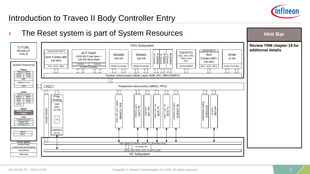

# Introduction to Traveo II Body Controller Entry

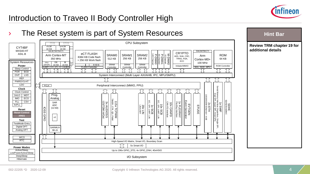

# Introduction to Traveo II Body Controller High

#### The Reset system is part of System Resources



**Hint Bar**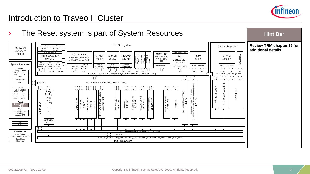

# Introduction to Traveo II Cluster

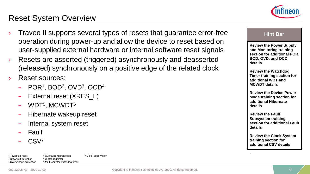

## Reset System Overview

- Traveo II supports several types of resets that guarantee error-free operation during power-up and allow the device to reset based on user-supplied external hardware or internal software reset signals
- Resets are asserted (triggered) asynchronously and deasserted (released) synchronously on a positive edge of the related clock
- › Reset sources:
	- POR1, BOD2, OVD3, OCD4
	- External reset (XRES L)
	- WDT5, MCWDT6
	- Hibernate wakeup reset
	- Internal system reset
	- Fault
	- CSV7

1 Power-on reset Brownout detection Overvoltage protection <sup>4</sup> Overcurrent protection <sup>7</sup> Clock supervision Watchdog timer Multi-counter watchdog timer



**Review the Power Supply and Monitoring training section for additional POR, BOD, OVD, and OCD details**

**Review the Watchdog Timer training section for additional WDT and MCWDT details**

**Review the Device Power Mode training section for additional Hibernate details**

**Review the Fault Subsystem training section for additional Fault details**

**Review the Clock System training section for additional CSV details**

**.**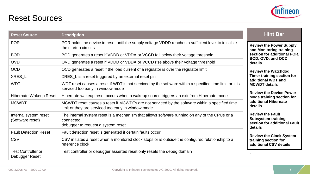

| <b>Reset Source</b>                         | <b>Description</b>                                                                                                                                   | <b>Hint Bar</b>                                                                                 |  |  |
|---------------------------------------------|------------------------------------------------------------------------------------------------------------------------------------------------------|-------------------------------------------------------------------------------------------------|--|--|
| <b>POR</b>                                  | POR holds the device in reset until the supply voltage VDDD reaches a sufficient level to initialize<br>the startup circuits                         | <b>Review the Power Supply</b><br>and Monitoring training<br>section for additional POR,        |  |  |
| <b>BOD</b>                                  | BOD generates a reset if VDDD or VDDA or VCCD fall below their voltage threshold                                                                     |                                                                                                 |  |  |
| <b>OVD</b>                                  | OVD generates a reset if VDDD or VDDA or VCCD rise above their voltage threshold                                                                     | BOD, OVD, and OCD<br>details                                                                    |  |  |
| <b>OCD</b>                                  | OCD generates a reset if the load current of a regulator is over the regulator limit                                                                 | <b>Review the Watchdog</b>                                                                      |  |  |
| XRES_L                                      | XRES_L is a reset triggered by an external reset pin                                                                                                 | Timer training section for                                                                      |  |  |
| <b>WDT</b>                                  | WDT reset causes a reset if WDT is not serviced by the software within a specified time limit or it is<br>serviced too early in window mode          | additional WDT and<br><b>MCWDT</b> details                                                      |  |  |
| Hibernate Wakeup Reset                      | Hibernate wakeup reset occurs when a wakeup source triggers an exit from Hibernate mode                                                              | <b>Review the Device Power</b><br>Mode training section for<br>additional Hibernate<br>details  |  |  |
| <b>MCWDT</b>                                | MCWDT reset causes a reset if MCWDTs are not serviced by the software within a specified time<br>limit or they are serviced too early in window mode |                                                                                                 |  |  |
| Internal system reset<br>(Software reset)   | The internal system reset is a mechanism that allows software running on any of the CPUs or a<br>connected<br>debugger to request a system reset     | <b>Review the Fault</b><br><b>Subsystem training</b><br>section for additional Fault<br>details |  |  |
| <b>Fault Detection Reset</b>                | Fault detection reset is generated if certain faults occur                                                                                           |                                                                                                 |  |  |
| CSV                                         | CSV initiates a reset when a monitored clock stops or is outside the configured relationship to a<br>reference clock                                 | <b>Review the Clock System</b><br>training section for<br>additional CSV details                |  |  |
| <b>Test Controller or</b><br>Debugger Reset | Test controller or debugger asserted reset only resets the debug domain                                                                              |                                                                                                 |  |  |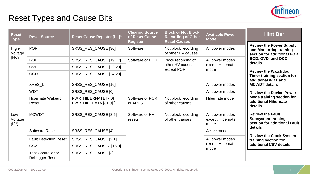

## Reset Types and Cause Bits

| <b>Reset</b><br><b>Type</b> | <b>Reset Source</b>                         | Reset Cause Register [bit] <sup>1</sup>                 | <b>Clearing Source</b><br>of Reset Cause<br><b>Register</b> | <b>Block or Not Block</b><br><b>Recording of Other</b><br><b>Reset Causes</b> | <b>Available Power</b><br><b>Mode</b>       | <b>Hint Bar</b>                                                                                                          |  |  |
|-----------------------------|---------------------------------------------|---------------------------------------------------------|-------------------------------------------------------------|-------------------------------------------------------------------------------|---------------------------------------------|--------------------------------------------------------------------------------------------------------------------------|--|--|
| High-<br>Voltage<br>(HV)    | <b>POR</b>                                  | SRSS_RES_CAUSE [30]                                     | Software                                                    | Not block recording<br>of other HV causes                                     | All power modes                             | <b>Review the Power Supply</b><br>and Monitoring training<br>section for additional POR,<br>BOD, OVD, and OCD<br>details |  |  |
|                             | <b>BOD</b>                                  | SRSS_RES_CAUSE [19:17]                                  | Software or POR                                             | Block recording of<br>other HV causes<br>except POR                           | All power modes<br>except Hibernate<br>mode |                                                                                                                          |  |  |
|                             | <b>OVD</b>                                  | SRSS_RES_CAUSE [22:20]                                  |                                                             |                                                                               |                                             |                                                                                                                          |  |  |
|                             | <b>OCD</b>                                  | SRSS_RES_CAUSE [24:23]                                  |                                                             |                                                                               |                                             | <b>Review the Watchdog</b><br>Timer training section for<br>additional WDT and                                           |  |  |
|                             | XRES_L                                      | SRSS_RES_CAUSE [16]                                     |                                                             |                                                                               | All power modes                             | <b>MCWDT details</b>                                                                                                     |  |  |
|                             | <b>WDT</b>                                  | SRSS_RES_CAUSE [0]                                      |                                                             |                                                                               | All power modes                             | <b>Review the Device Power</b>                                                                                           |  |  |
|                             | Hibernate Wakeup<br>Reset                   | PWR_HIBERNATE [7:0]<br>PWR_HIB_DATA [31:0] <sup>2</sup> | Software or POR<br>or XRES                                  | Not block recording<br>of other causes                                        | Hibernate mode                              | Mode training section for<br>additional Hibernate<br>details                                                             |  |  |
| Low-<br>Voltage<br>(LV)     | <b>MCWDT</b>                                | SRSS_RES_CAUSE [8:5]                                    | Software or HV<br>resets                                    | Not block recording<br>of other causes                                        | All power modes<br>except Hibernate<br>mode | <b>Review the Fault</b><br><b>Subsystem training</b><br>section for additional Fault<br>details                          |  |  |
|                             | Software Reset                              | SRSS_RES_CAUSE [4]                                      |                                                             |                                                                               | Active mode                                 |                                                                                                                          |  |  |
|                             | <b>Fault Detection Reset</b>                | SRSS_RES_CAUSE [2:1]                                    |                                                             |                                                                               | All power modes<br>except Hibernate<br>mode | <b>Review the Clock System</b><br>training section for                                                                   |  |  |
|                             | CSV                                         | SRSS_RES_CAUSE2 [16:0]                                  |                                                             |                                                                               |                                             | additional CSV details                                                                                                   |  |  |
|                             | <b>Test Controller or</b><br>Debugger Reset | SRSS_RES_CAUSE [3]                                      |                                                             |                                                                               |                                             |                                                                                                                          |  |  |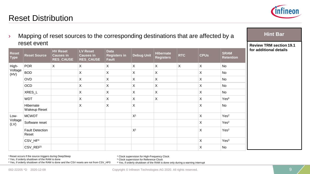

**Hint Bar** 

## Reset Distribution

| reset event                 |                                  |                                                         |                                                  |                                             | <b>Review TRM section 19.1</b> |                               |            |             |                                 |                        |
|-----------------------------|----------------------------------|---------------------------------------------------------|--------------------------------------------------|---------------------------------------------|--------------------------------|-------------------------------|------------|-------------|---------------------------------|------------------------|
| <b>Reset</b><br><b>Type</b> | <b>Reset Source</b>              | <b>HV Reset</b><br><b>Causes in</b><br><b>RES_CAUSE</b> | LV Reset<br><b>Causes in</b><br><b>RES_CAUSE</b> | <b>Data</b><br><b>Registers in</b><br>Fault | <b>Debug Unit</b>              | Hibernate<br><b>Registers</b> | <b>RTC</b> | <b>CPUs</b> | <b>SRAM</b><br><b>Retention</b> | for additional details |
| High-<br>Voltage<br>(HV)    | <b>POR</b>                       | X                                                       | X                                                | X                                           | X                              | X                             | X          | $\mathsf X$ | No                              |                        |
|                             | <b>BOD</b>                       |                                                         | X                                                | X                                           | X                              | X                             |            | X           | <b>No</b>                       |                        |
|                             | <b>OVD</b>                       |                                                         | X                                                | X                                           | X                              | X                             |            | X           | <b>No</b>                       |                        |
|                             | <b>OCD</b>                       |                                                         | X                                                | X                                           | X                              | X                             |            | X           | No                              |                        |
|                             | XRES_L                           |                                                         | X                                                | Χ                                           | X                              | X                             |            | X           | No                              |                        |
|                             | <b>WDT</b>                       |                                                         | X                                                | X                                           | X                              | X                             |            | X           | Yes <sup>6</sup>                |                        |
|                             | Hibernate<br><b>Wakeup Reset</b> |                                                         | X                                                | X                                           | X                              |                               |            | X           | <b>No</b>                       |                        |
| Low-<br>Voltage<br>(LV)     | <b>MCWDT</b>                     |                                                         |                                                  |                                             | X <sup>1</sup>                 |                               |            | $\mathsf X$ | Yes <sup>2</sup>                |                        |
|                             | Software reset                   |                                                         |                                                  |                                             |                                |                               |            | X           | Yes <sup>2</sup>                |                        |
|                             | <b>Fault Detection</b><br>Reset  |                                                         |                                                  |                                             | X <sup>1</sup>                 |                               |            | X           | Yes <sup>2</sup>                |                        |
|                             | CSV_HF <sup>4</sup>              |                                                         |                                                  |                                             |                                |                               |            | $\mathsf X$ | Yes <sup>3</sup>                |                        |
|                             | CSV_REF <sup>5</sup>             |                                                         |                                                  |                                             |                                |                               |            | X           | No                              |                        |

 $\rightarrow$  Mapping of reset sources to the corresponding destinations that are affected by a

1 Reset occurs if the source triggers during DeepSleep <sup>2</sup> Yes, if orderly shutdown of the RAM is done

<sup>4</sup> Clock supervision for High-Frequency Clock

<sup>5</sup> Clock supervision for Reference Clock

<sup>3</sup> Yes, if orderly shutdown of the RAM is done and the CSV resets are not from CSV\_HF0 <sup>6</sup> Yes, if orderly shutdown of the RAM is done only during a warning interrupt

002-22205 \*D 2020-12-09 **Copyright © Infineon Technologies AG 2020.** All rights reserved.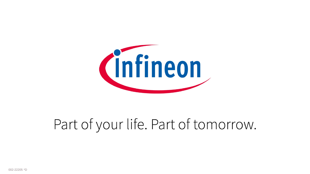

# Part of your life. Part of tomorrow.